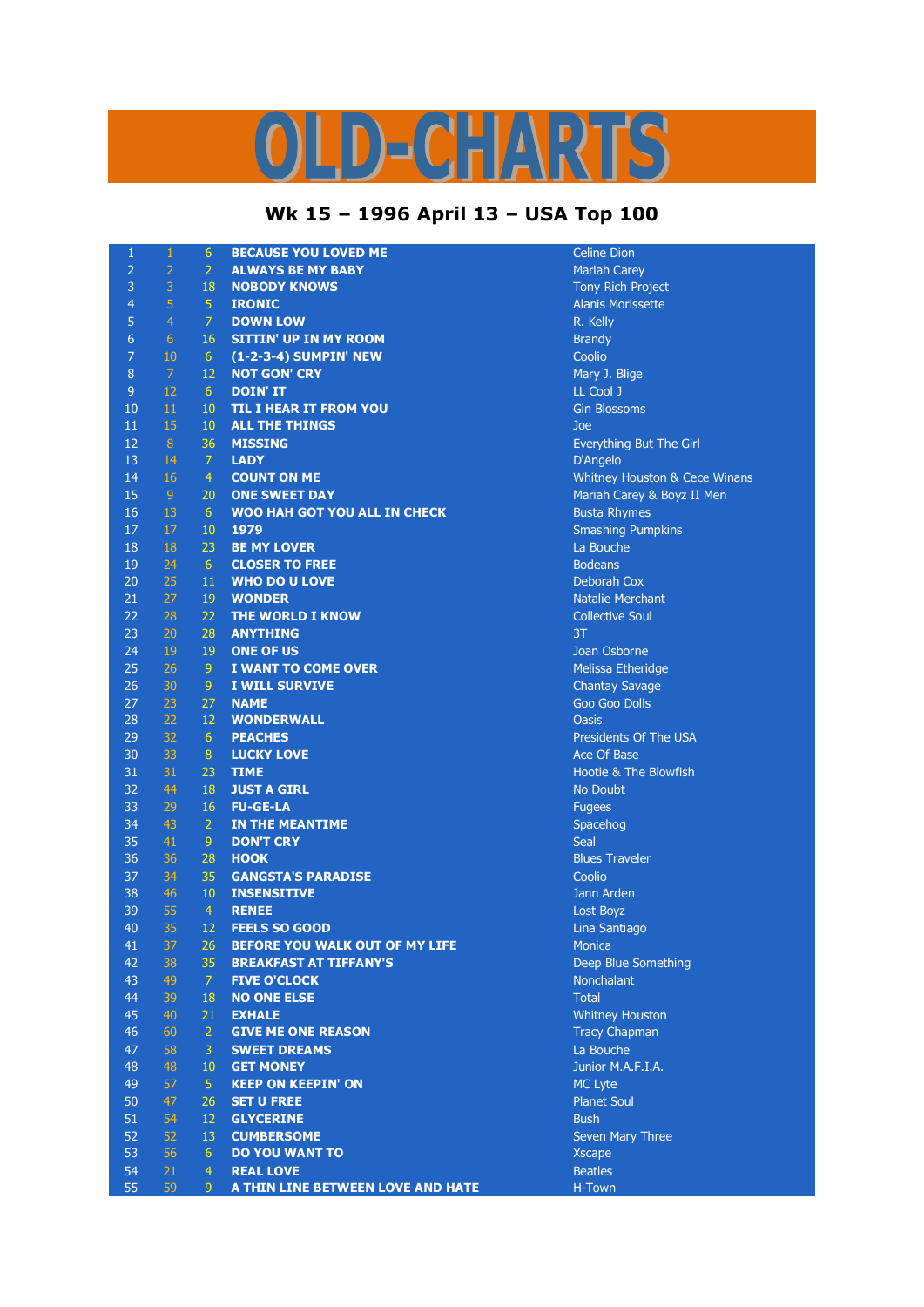## LD-CHARTS

## **Wk 15 – 1996 April 13 – USA Top 100**

| $\mathbf{1}$     | $\,1\,$         | $6\phantom{1}6$ | <b>BECAUSE YOU LOVED ME</b>         | <b>Celine Dion</b>            |
|------------------|-----------------|-----------------|-------------------------------------|-------------------------------|
| $\overline{2}$   | $\overline{2}$  | $\overline{2}$  | <b>ALWAYS BE MY BABY</b>            | <b>Mariah Carey</b>           |
| 3                | 3               | 18              | <b>NOBODY KNOWS</b>                 | Tony Rich Project             |
| $\overline{4}$   | 5               | $\overline{5}$  | <b>IRONIC</b>                       | <b>Alanis Morissette</b>      |
| 5                | $\overline{4}$  | $\overline{7}$  | <b>DOWN LOW</b>                     | R. Kelly                      |
| 6                | $6\phantom{1}6$ | 16              | <b>SITTIN' UP IN MY ROOM</b>        | <b>Brandy</b>                 |
| $\overline{7}$   | 10              | 6               | (1-2-3-4) SUMPIN' NEW               | Coolio                        |
| $\boldsymbol{8}$ | $\overline{7}$  | 12              | <b>NOT GON' CRY</b>                 | Mary J. Blige                 |
| $9\,$            | 12              | 6               | <b>DOIN' IT</b>                     | LL Cool J                     |
| 10               | 11              | 10              | <b>TIL I HEAR IT FROM YOU</b>       | <b>Gin Blossoms</b>           |
| 11               | 15              | 10              | <b>ALL THE THINGS</b>               | Joe                           |
| 12               | 8               | 36              | <b>MISSING</b>                      | Everything But The Girl       |
| 13               | 14              | $\overline{7}$  | <b>LADY</b>                         | D'Angelo                      |
| 14               | 16              | $\overline{4}$  | <b>COUNT ON ME</b>                  | Whitney Houston & Cece Winans |
| 15               | 9 <sup>°</sup>  | 20              | <b>ONE SWEET DAY</b>                | Mariah Carey & Boyz II Men    |
| 16               | 13              | 6               | <b>WOO HAH GOT YOU ALL IN CHECK</b> | <b>Busta Rhymes</b>           |
| 17               | 17              | 10              | 1979                                | <b>Smashing Pumpkins</b>      |
| 18               | 18              | 23              | <b>BE MY LOVER</b>                  | La Bouche                     |
| 19               | 24              | 6               | <b>CLOSER TO FREE</b>               | <b>Bodeans</b>                |
| 20               | 25              | 11              | <b>WHO DO U LOVE</b>                | Deborah Cox                   |
| 21               | 27              | 19              | <b>WONDER</b>                       | <b>Natalie Merchant</b>       |
| 22               |                 |                 | THE WORLD I KNOW                    |                               |
|                  | 28              | 22              |                                     | <b>Collective Soul</b>        |
| 23               | 20              | 28              | <b>ANYTHING</b>                     | 3T                            |
| 24               | 19              | 19              | <b>ONE OF US</b>                    | Joan Osborne                  |
| 25               | 26              | 9               | <b>I WANT TO COME OVER</b>          | Melissa Etheridge             |
| 26               | 30              | 9               | I WILL SURVIVE                      | <b>Chantay Savage</b>         |
| 27               | 23              | 27              | <b>NAME</b>                         | Goo Goo Dolls                 |
| 28               | 22              | 12              | <b>WONDERWALL</b>                   | <b>Oasis</b>                  |
| 29               | 32              | 6               | <b>PEACHES</b>                      | Presidents Of The USA         |
| 30               | 33              | 8               | <b>LUCKY LOVE</b>                   | Ace Of Base                   |
| 31               | 31              | 23              | <b>TIME</b>                         | Hootie & The Blowfish         |
| 32               | 44              | 18              | <b>JUST A GIRL</b>                  | No Doubt                      |
| 33               | 29              | 16              | <b>FU-GE-LA</b>                     | <b>Fugees</b>                 |
| 34               | 43              | $\overline{2}$  | IN THE MEANTIME                     | Spacehog                      |
| 35               | 41              | 9               | <b>DON'T CRY</b>                    | <b>Seal</b>                   |
| 36               | 36              | 28              | <b>HOOK</b>                         | <b>Blues Traveler</b>         |
| 37               | 34              | 35              | <b>GANGSTA'S PARADISE</b>           | Coolio                        |
| 38               | 46              | 10              | <b>INSENSITIVE</b>                  | Jann Arden                    |
| 39               | 55              | $\overline{4}$  | <b>RENEE</b>                        | Lost Boyz                     |
| 40               | 35              | 12              | <b>FEELS SO GOOD</b>                | Lina Santiago                 |
| 41               | 37              | 26              | BEFORE YOU WALK OUT OF MY LIFE      | Monica                        |
| 42               | 38              | 35              | <b>BREAKFAST AT TIFFANY'S</b>       | Deep Blue Something           |
| 43               | 49              | 7               | <b>FIVE O'CLOCK</b>                 | Nonchalant                    |
| 44               | 39              | 18              | <b>NO ONE ELSE</b>                  | <b>Total</b>                  |
| 45               | 40              | 21              | <b>EXHALE</b>                       | <b>Whitney Houston</b>        |
| 46               | 60              | $\overline{2}$  | <b>GIVE ME ONE REASON</b>           | <b>Tracy Chapman</b>          |
| 47               | 58              | 3               | <b>SWEET DREAMS</b>                 | La Bouche                     |
| 48               | 48              | 10 <sup>°</sup> | <b>GET MONEY</b>                    | Junior M.A.F.I.A.             |
| 49               | 57              | $\overline{5}$  | <b>KEEP ON KEEPIN' ON</b>           | <b>MC Lyte</b>                |
| 50               | 47              | 26              | <b>SET U FREE</b>                   | <b>Planet Soul</b>            |
| 51               | 54              | 12              | <b>GLYCERINE</b>                    | <b>Bush</b>                   |
| 52               | 52              | 13              | <b>CUMBERSOME</b>                   | Seven Mary Three              |
| 53               | 56              | 6               | <b>DO YOU WANT TO</b>               | <b>Xscape</b>                 |
| 54               | 21              | $\overline{4}$  | <b>REAL LOVE</b>                    | <b>Beatles</b>                |
| 55               | 59              | 9               | A THIN LINE BETWEEN LOVE AND HATE   | H-Town                        |